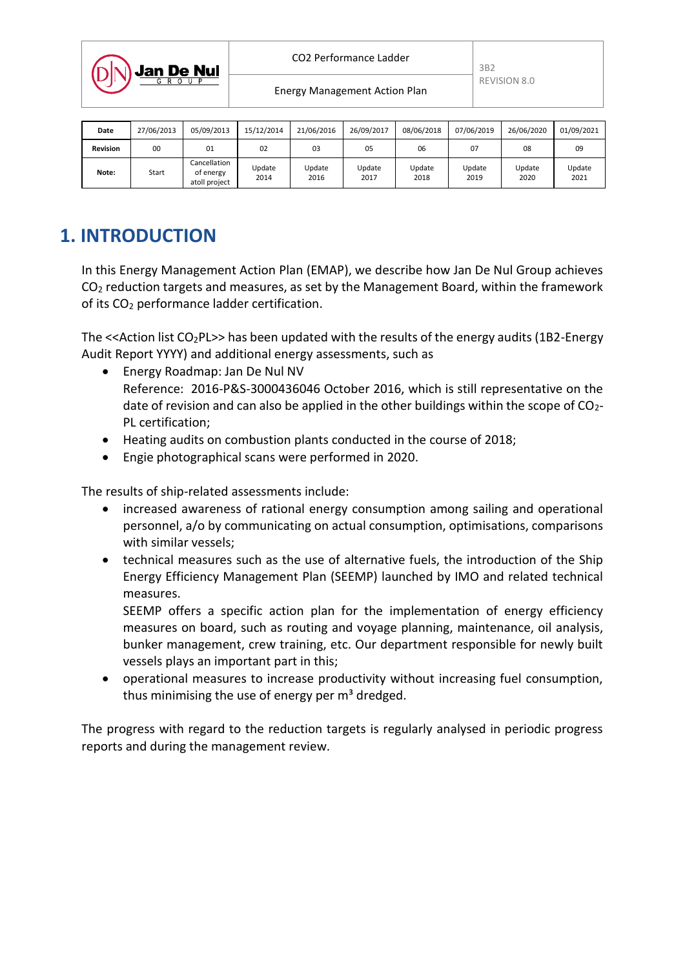

Energy Management Action Plan

| Date            | 27/06/2013 | 05/09/2013                                 | 15/12/2014     | 21/06/2016     | 26/09/2017     | 08/06/2018     | 07/06/2019     | 26/06/2020     | 01/09/2021     |
|-----------------|------------|--------------------------------------------|----------------|----------------|----------------|----------------|----------------|----------------|----------------|
| <b>Revision</b> | 00         | 01                                         | 02             | 03             | 05             | 06             | 07             | 08             | 09             |
| Note:           | Start      | Cancellation<br>of energy<br>atoll project | Update<br>2014 | Update<br>2016 | Update<br>2017 | Update<br>2018 | Update<br>2019 | Update<br>2020 | Update<br>2021 |

# **1. INTRODUCTION**

In this Energy Management Action Plan (EMAP), we describe how Jan De Nul Group achieves  $CO<sub>2</sub>$  reduction targets and measures, as set by the Management Board, within the framework of its CO<sub>2</sub> performance ladder certification.

The  $\leq$  Action list CO<sub>2</sub>PL>> has been updated with the results of the energy audits (1B2-Energy Audit Report YYYY) and additional energy assessments, such as

- Energy Roadmap: Jan De Nul NV Reference: 2016-P&S-3000436046 October 2016, which is still representative on the date of revision and can also be applied in the other buildings within the scope of  $CO<sub>2</sub>$ -PL certification;
- Heating audits on combustion plants conducted in the course of 2018;
- Engie photographical scans were performed in 2020.

The results of ship-related assessments include:

- increased awareness of rational energy consumption among sailing and operational personnel, a/o by communicating on actual consumption, optimisations, comparisons with similar vessels;
- technical measures such as the use of alternative fuels, the introduction of the Ship Energy Efficiency Management Plan (SEEMP) launched by IMO and related technical measures.

SEEMP offers a specific action plan for the implementation of energy efficiency measures on board, such as routing and voyage planning, maintenance, oil analysis, bunker management, crew training, etc. Our department responsible for newly built vessels plays an important part in this;

 operational measures to increase productivity without increasing fuel consumption, thus minimising the use of energy per  $m<sup>3</sup>$  dredged.

The progress with regard to the reduction targets is regularly analysed in periodic progress reports and during the management review.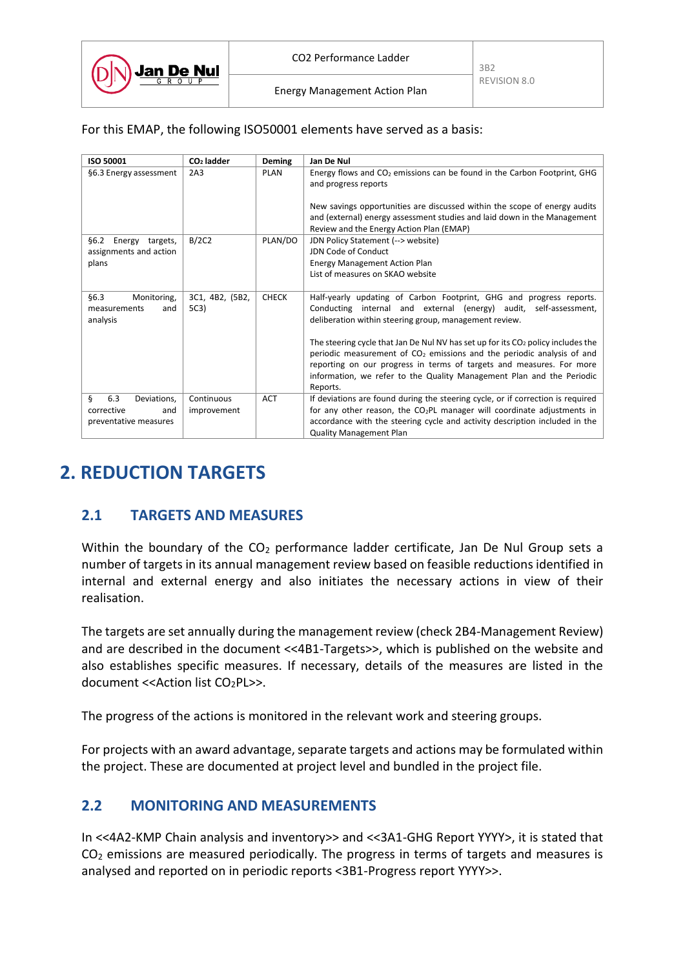

#### For this EMAP, the following ISO50001 elements have served as a basis:

| ISO 50001                                              | CO <sub>2</sub> ladder  | Deming       | Jan De Nul                                                                                                                                                                                                                                                                                                                  |
|--------------------------------------------------------|-------------------------|--------------|-----------------------------------------------------------------------------------------------------------------------------------------------------------------------------------------------------------------------------------------------------------------------------------------------------------------------------|
| §6.3 Energy assessment                                 | 2A3                     | PLAN         | Energy flows and $CO2$ emissions can be found in the Carbon Footprint, GHG<br>and progress reports                                                                                                                                                                                                                          |
|                                                        |                         |              | New savings opportunities are discussed within the scope of energy audits<br>and (external) energy assessment studies and laid down in the Management<br>Review and the Energy Action Plan (EMAP)                                                                                                                           |
| Energy targets,<br>§6.2                                | B/2C2                   | PLAN/DO      | JDN Policy Statement (--> website)                                                                                                                                                                                                                                                                                          |
| assignments and action                                 |                         |              | JDN Code of Conduct                                                                                                                                                                                                                                                                                                         |
| plans                                                  |                         |              | <b>Energy Management Action Plan</b>                                                                                                                                                                                                                                                                                        |
|                                                        |                         |              | List of measures on SKAO website                                                                                                                                                                                                                                                                                            |
| §6.3<br>Monitoring,<br>measurements<br>and<br>analysis | 3C1, 4B2, (5B2,<br>5C3) | <b>CHECK</b> | Half-yearly updating of Carbon Footprint, GHG and progress reports.<br>Conducting internal and external (energy) audit, self-assessment,<br>deliberation within steering group, management review.                                                                                                                          |
|                                                        |                         |              | The steering cycle that Jan De Nul NV has set up for its $CO2$ policy includes the<br>periodic measurement of $CO2$ emissions and the periodic analysis of and<br>reporting on our progress in terms of targets and measures. For more<br>information, we refer to the Quality Management Plan and the Periodic<br>Reports. |
| ş<br>6.3<br>Deviations,                                | Continuous              | <b>ACT</b>   | If deviations are found during the steering cycle, or if correction is required                                                                                                                                                                                                                                             |
| corrective<br>and                                      | improvement             |              | for any other reason, the $CO2PL$ manager will coordinate adjustments in                                                                                                                                                                                                                                                    |
| preventative measures                                  |                         |              | accordance with the steering cycle and activity description included in the                                                                                                                                                                                                                                                 |
|                                                        |                         |              | <b>Quality Management Plan</b>                                                                                                                                                                                                                                                                                              |

## **2. REDUCTION TARGETS**

### **2.1 TARGETS AND MEASURES**

Within the boundary of the  $CO<sub>2</sub>$  performance ladder certificate, Jan De Nul Group sets a number of targets in its annual management review based on feasible reductions identified in internal and external energy and also initiates the necessary actions in view of their realisation.

The targets are set annually during the management review (check 2B4-Management Review) and are described in the document <<4B1-Targets>>, which is published on the website and also establishes specific measures. If necessary, details of the measures are listed in the document <<Action list CO2PL>>.

The progress of the actions is monitored in the relevant work and steering groups.

For projects with an award advantage, separate targets and actions may be formulated within the project. These are documented at project level and bundled in the project file.

### **2.2 MONITORING AND MEASUREMENTS**

In <<4A2-KMP Chain analysis and inventory>> and <<3A1-GHG Report YYYY>, it is stated that  $CO<sub>2</sub>$  emissions are measured periodically. The progress in terms of targets and measures is analysed and reported on in periodic reports <3B1-Progress report YYYY>>.